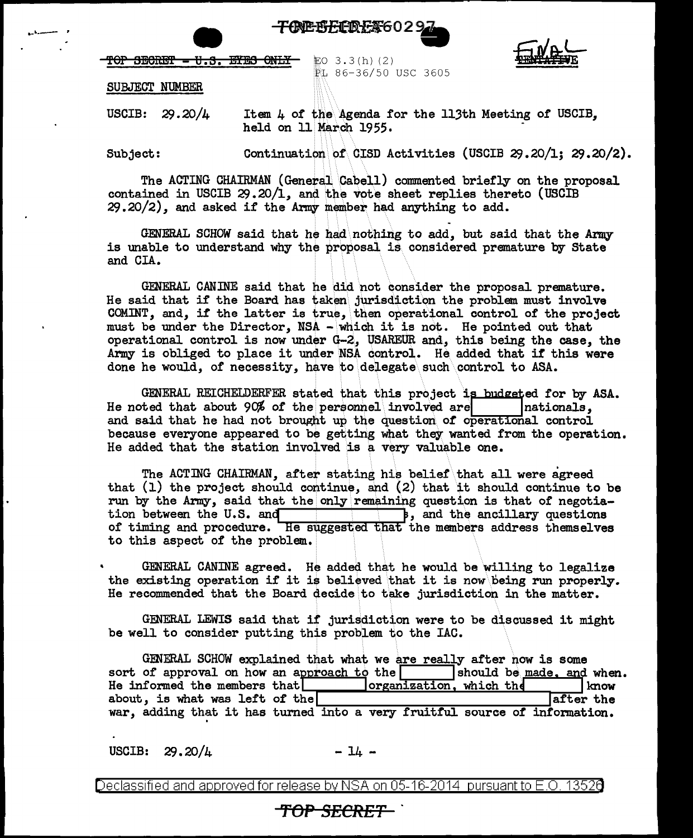

TOP SECRET - U.S. EYES ONLY

 $EO$  3.3 $(h)$  (2) FL 86-36/50 USC 3605



SUBJECT NUMBER

USCIB: 29.20/4

Item  $\mu$  of the Agenda for the 113th Meeting of USCIB, held on 11 March 1955.

Subject:

...... -,

Continuation of CISD Activities (USCIB 29.20/1; 29.20/2).

The ACTING CHAIRMAN (General Cabell) commented briefly on the proposal contained in USCIB 29.20/1, and the vote sheet replies thereto (USCIB  $29.20/2$ , and asked if the Army member had anything to add.

GENERAL SCHOW said that he had nothing to add, but said that the Army is unable to understand why the proposal is considered premature by State and CIA.

GENERAL CANINE said that he did \not consider the proposal premature. He said that if the Board has taken jurisdiction the problem must involve COMINT, and, if the latter is true, then operational control of the project must be under the Director,  $NSA - which$  it is not. He pointed out that operational control is now under G-2, USAREUR and, this being the case, the Army is obliged to place it under NSA control. He added that if this were done he would, of necessity, have to delegate such control to ASA.

GENERAL REICHELDERFER stated that this project is budgeted for by ASA.<br>ted that about 90% of the personnel involved are  $\vert$  nationals. He noted that about  $90%$  of the personnel involved are and said that he had not brought up the question of operational control because everyone appeared to be getting what they wanted from the operation. He added that the station involved is a very valuable one.

The ACTING CHAIRMAN, after stating his belief that all were agreed that (1) the project should continue, and (2) that it should continue to be run by the Army, said that the only remaining question is that of negotia-<br>tion between the U.S. and<br> $\begin{array}{|l|}\n\hline\n\end{array}$  and the ancillary questions  $\overline{\phantom{a}}$ , and the ancillary questions of timing and procedure. He suggested that the members address themselves to this aspect of the problem.

GENERAL CANINE agreed. He added that he would be willing to legalize the existing operation if it is believed that it is now. being run properly. He recommended that the Board decide to take jurisdiction in the matter.

GENERAL LEWIS said that if' jurisdiction were to be discussed it might be well to consider putting this problem to the IAC.

GENERAL SCHOW explained that what we are really after now is some of approval on how an approach to the  $\vert$  should be made, and when. sort of approval on how an approach to the should be made, and when He informed the members that  $\Box$  organization, which the  $\Box$  know He informed the members that **I** lorganization, which the I know about, is what was left of the about, is what was left of the war, adding that it has turned into a very fruitful source of information.

USCIB:  $29.20/\mu$  - 14 -

Declassified and approved for release by NSA on 05-16-2014 pursuantto E .0. 1352a

## **'fOP** *SECRET* .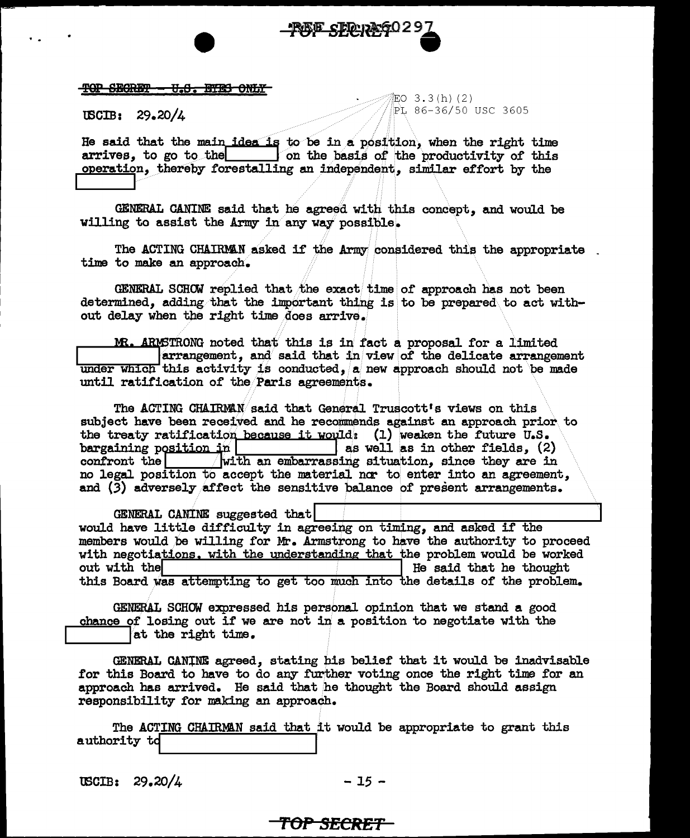

#### TOP SECRET <del>U.S. BYES ONLY</del>

 $\texttt{USCIB:} \quad 29.20/\texttt{L}$ 

iEO 3.3(h)(2) PL 86-36/50 USC 3605

He said that the main idea is to be in a position, when the right time<br>arrives, to go to the same on the basis of the productivity of this on the basis of the productivity of this operation, thereby forestalling an independent, similar effort by the

GENERAL CANINE said that he agreed with this concept, and would be willing to assist the Army in any way possible.

The ACTING CHAIRMAN asked if the Army considered this the appropriate time to make an approach.

GENERAL SCHOW replied that the exact time of approach has not been determined, adding that the important thing is to be prepared to act without delay when the right time does arrive.

MR. ARMSTRONG noted that this is in fact a proposal for a limited  $\alpha$  arrangement, and said that in view of the delicate arrangement under which this activity is conducted, a new approach should not be made until ratification of the Paris agreements.

The ACTING CHAIRMAN said that General Truscott's views on this subject have been received and he recommends against an approach prior to the treaty ratification because it would: (1) weaken the future U.S. bargaining position in  $\vert$  as well as in other fields,  $(2)$  $\sqrt{$ with an embarrassing situation, since they are in confront the no legal position to accept the material nor to enter into an agreement. and (3) adversely affect the sensitive balance of present arrangements.

GENERAL CANINE suggested that would have little difficulty in agreeing on timing, and asked if the members would be willing for Mr. Armstrong to have the authority to proceed with negotiations. with the understanding that the problem would be worked out with the He said that he thought this Board was attempting to get too much into the details of the problem.

GENERAL SCHOW expressed his personal opinion that we stand a good chance of losing out if we are not in a position to negotiate with the at the right time.

GENERAL CANINE agreed, stating his belief that it would be inadvisable for this Board to have to do any further voting once the right time for an approach has arrived. He said that he thought the Board should assign responsibility for making an approach.

The ACTING CHAIRMAN said that it would be appropriate to grant this authority to

USCIB:  $29.20/4$ 

 $-15 -$ 

### <del>TOP SECRET-</del>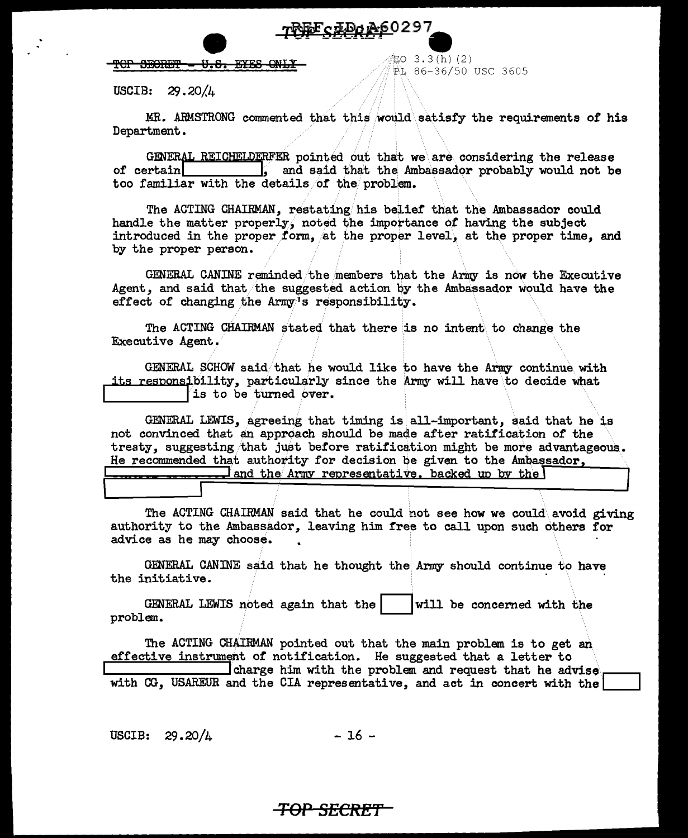

<del>. U.S. EYES ONL</del> TOP SECRET

EO 3.3(h)(2) PL 86-36/50 USC 3605

USCIB:  $29.20/4$ 

MR. ARMSTRONG commented that this would satisfy the requirements of his Department.

GENERAL REICHELDERFER pointed out that we are considering the release of certain s and said that the Ambassador probably would not be too familiar with the details of the problem.

The ACTING CHAIRMAN, restating his belief that the Ambassador could handle the matter properly, noted the importance of having the subject introduced in the proper form, at the proper level, at the proper time, and by the proper person.

GENERAL CANINE reminded the members that the Army is now the Executive Agent, and said that the suggested action by the Ambassador would have the effect of changing the Army's responsibility.

The ACTING CHAIRMAN stated that there is no intent to change the Executive Agent.

GENERAL SCHOW said that he would like to have the Army continue with its responsibility, particularly since the Army will have to decide what is to be turned over.

GENERAL LEWIS, agreeing that timing is all-important, said that he is not convinced that an approach should be made after ratification of the treaty, suggesting that just before ratification might be more advantageous. He recommended that authority for decision be given to the Ambassador.

 $\Box$  and the Army representative, backed up by the

The ACTING CHAIRMAN said that he could not see how we could avoid giving authority to the Ambassador, leaving him free to call upon such others for advice as he may choose.

GENERAL CANINE said that he thought the Army should continue to have the initiative.

GENERAL LEWIS noted again that the will be concerned with the problem.

The ACTING CHAIRMAN pointed out that the main problem is to get an effective instrument of notification. He suggested that a letter to charge him with the problem and request that he advise with CG, USAREUR and the CIA representative, and act in concert with the

 $-16-$ USCIB:  $29.20/4$ 

# <del>-TOP-SECRET -</del>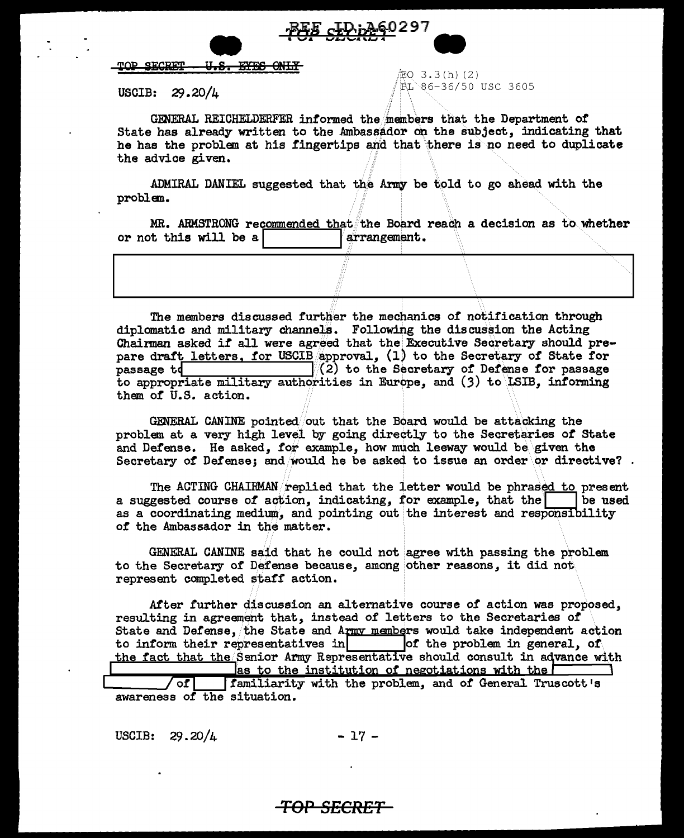

#### TOP SECRET 11.S <del>EYES</del>

#### USCIB:  $29.20/\mu$

 $EO$  3.3(h)(2)  $PL$  86-36/50 USC 3605

GENERAL REICHELDERFER informed the members that the Department of State has already written to the Ambassador on the subject, indicating that he has the problem at his fingertips and that there is no need to duplicate the advice given.

ADMIRAL DANIEL suggested that the Army be told to go ahead with the problem.

MR. ARMSTRONG recommended that the Board reach a decision as to whether or not this will be a arrangement.

The members discussed further the mechanics of notification through diplomatic and military channels. Following the discussion the Acting Chairman asked if all were agreed that the Executive Secretary should prepare draft letters, for USCIB approval, (1) to the Secretary of State for  $(2)$  to the Secretary of Defense for passage passage td to appropriate military authorities in Europe, and (3) to LSIB, informing them of U.S. action.

GENERAL CANINE pointed/out that the Board would be attacking the problem at a very high level by going directly to the Secretaries of State and Defense. He asked, for example, how much leeway would be given the Secretary of Defense; and would he be asked to issue an order or directive?.

The ACTING CHAIRMAN replied that the letter would be phrased to present a suggested course of action, indicating, for example, that the be used as a coordinating medium, and pointing out the interest and responsibility of the Ambassador in the matter.

GENERAL CANINE said that he could not agree with passing the problem to the Secretary of Defense because, among other reasons, it did not represent completed staff action.

After further discussion an alternative course of action was proposed. resulting in agreement that, instead of letters to the Secretaries of State and Defense, the State and Army members would take independent action of the problem in general. of to inform their representatives in the fact that the Senior Army Representative should consult in advance with as to the institution of negotiations with the  $\Gamma$ 

familiarity with the problem, and of General Truscott's  $\sqrt{ct}$ awareness of the situation.

USCIB:  $29.20/4$  $-17-$ 

# <del>TOP SECRET-</del>